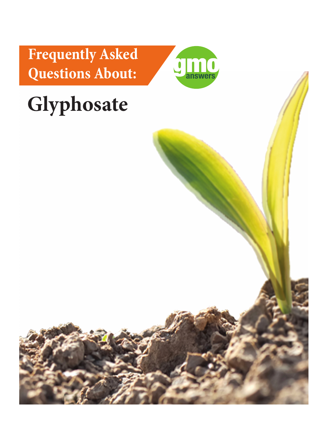**Frequently Asked Questions About:** 



# **Glyphosate**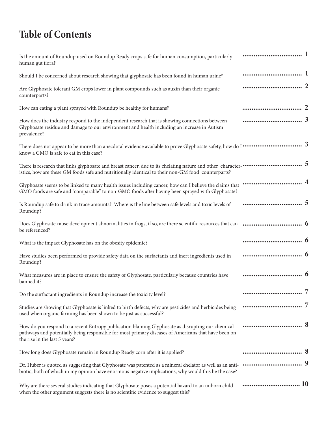# **Table of Contents**

| Is the amount of Roundup used on Roundup Ready crops safe for human consumption, particularly<br>human gut flora?                                                                                                                                     |  |
|-------------------------------------------------------------------------------------------------------------------------------------------------------------------------------------------------------------------------------------------------------|--|
| Should I be concerned about research showing that glyphosate has been found in human urine?                                                                                                                                                           |  |
| Are Glyphosate tolerant GM crops lower in plant compounds such as auxin than their organic<br>counterparts?                                                                                                                                           |  |
| How can eating a plant sprayed with Roundup be healthy for humans?                                                                                                                                                                                    |  |
| How does the industry respond to the independent research that is showing connections between<br>Glyphosate residue and damage to our environment and health including an increase in Autism<br>prevalence?                                           |  |
| There does not appear to be more than anecdotal evidence available to prove Glyphosate safety, how do I $\cdots$ $\cdots$ $\cdots$ $\cdots$ $\cdots$<br>know a GMO is safe to eat in this case?                                                       |  |
| There is research that links glyphosate and breast cancer, due to its chelating nature and other character- <b>··························</b> 5<br>istics, how are these GM foods safe and nutritionally identical to their non-GM food counterparts? |  |
| GMO foods are safe and "comparable" to non-GMO foods after having been sprayed with Glyphosate?                                                                                                                                                       |  |
| Is Roundup safe to drink in trace amounts? Where is the line between safe levels and toxic levels of<br>Roundup?                                                                                                                                      |  |
| be referenced?                                                                                                                                                                                                                                        |  |
| What is the impact Glyphosate has on the obesity epidemic?                                                                                                                                                                                            |  |
| Have studies been performed to provide safety data on the surfactants and inert ingredients used in<br>Roundup?                                                                                                                                       |  |
| What measures are in place to ensure the safety of Glyphosate, particularly because countries have<br>banned it?                                                                                                                                      |  |
| Do the surfactant ingredients in Roundup increase the toxicity level?                                                                                                                                                                                 |  |
| Studies are showing that Glyphosate is linked to birth defects, why are pesticides and herbicides being<br>used when organic farming has been shown to be just as successful?                                                                         |  |
| How do you respond to a recent Entropy publication blaming Glyphosate as disrupting our chemical<br>pathways and potentially being responsible for most primary diseases of Americans that have been on<br>the rise in the last 5 years?              |  |
| How long does Glyphosate remain in Roundup Ready corn after it is applied?                                                                                                                                                                            |  |
| biotic, both of which in my opinion have enormous negative implications, why would this be the case?                                                                                                                                                  |  |
| Why are there several studies indicating that Glyphosate poses a potential hazard to an unborn child                                                                                                                                                  |  |

when the other argument suggests there is no scientific evidence to suggest this?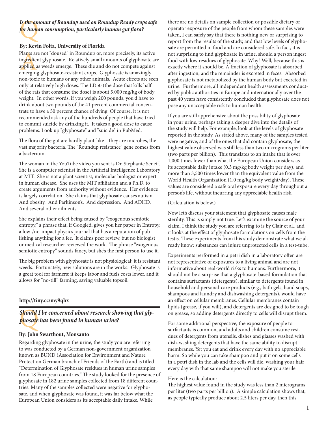## Is the an<br>for hume *Is the amount of Roundup used on Roundup Ready crops safe for human consumption, particularly human gut flora?*

#### **By: Kevin Folta, University of Florida**

Plants ar<br>ingredie:<br>applied a<br>emergin; Plants are not "doused" in Roundup or, more precisely, its active ingredient glyphosate. Relatively small amounts of glyphosate are applied as weeds emerge. These die and do not compete against emerging glyphosate-resistant crops. Glyphosate is amazingly non-toxic to humans or any other animals. Acute effects are seen only at relatively high doses. The LD50 (the dose that kills half of the rats that consume the dose) is about 5,000 mg/kg of body weight. In other words, if you weigh 200 pounds, you'd have to drink about two pounds of the 41 percent commercial concentrate to have a 50 percent chance of dying. Of course, it is not recommended ask any of the hundreds of people that have tried to commit suicide by drinking it. It takes a good dose to cause problems. Look up "glyphosate" and "suicide" in PubMed.

The flora of the gut are hardly plant-like—they are microbes, the vast majority bacteria. The "Roundup resistance" gene comes from a bacterium.

The woman in the YouTube video you sent is Dr. Stephanie Seneff. She is a computer scientist in the Artificial Intelligence Laboratory at MIT. She is not a plant scientist, molecular biologist or expert in human disease. She uses the MIT affiliation and a Ph.D. to create arguments from authority without evidence. Her evidence is largely correlation. She claims that glyphosate causes autism. And obesity. And Parkinson's. And depression. And ADHD. And several other ailments.

She explains their effect being caused by "exogenous semiotic entropy," a phrase that, if Googled, gives you her paper in Entropy, a low-/no-impact physics journal that has a reputation of publishing anything for a fee. It claims peer review, but no biologist or medical researcher reviewed the work. The phrase "exogenous semiotic entropy" sounds fancy, but she's the first person to use it.

The big problem with glyphosate is not physiological; it is resistant weeds. Fortunately, new solutions are in the works. Glyphosate is a great tool for farmers; it keeps labor and fuels costs lower, and it allows for "no-till" farming, saving valuable topsoil.

#### **http://tiny.cc/my9qhx**

## Should<br>phosate<br>p *Should I be concerned about research showing that glyphosate has been found in human urine?*

#### **By: John Swarthout, Monsanto**

Regarding glyphosate in the urine, the study you are referring to was conducted by a German non-government organization known as BUND (Association for Environment and Nature Protection German branch of Friends of the Earth) and is titled "Determination of Glyphosate residues in human urine samples from 18 European countries." The study looked for the presence of glyphosate in 182 urine samples collected from 18 different countries. Many of the samples collected were negative for glyphosate, and when glyphosate was found, it was far below what the European Union considers as its acceptable daily intake. While

there are no details on sample collection or possible dietary or operator exposure of the people from whom these samples were taken, I can safely say that there is nothing new or surprising to report from the results of the study, and that low levels of glyphosate are permitted in food and are considered safe. In fact, it is not surprising to find glyphosate in urine, should a person ingest food with low residues of glyphosate. Why? Well, because this is exactly where it should be. A fraction of glyphosate is absorbed after ingestion, and the remainder is excreted in feces. Absorbed glyphosate is not metabolized by the human body but excreted in urine. Furthermore, all independent health assessments conducted by public authorities in Europe and internationally over the past 40 years have consistently concluded that glyphosate does not pose any unacceptable risk to human health.

If you are still apprehensive about the possibility of glyphosate in your urine, perhaps taking a deeper dive into the details of the study will help. For example, look at the levels of glyphosate reported in the study. As stated above, many of the samples tested were negative, and of the ones that did contain glyphosate, the highest value observed was still less than two micrograms per liter (two parts per billion). This translates to an intake that is over 1,000 times lower than what the European Union considers as its acceptable daily intake (0.3 mg/kg body weight per day), and more than 3,500 times lower than the equivalent value from the World Health Organization (1.0 mg/kg body weight/day). These values are considered a safe oral exposure every day throughout a person's life, without incurring any appreciable health risk.

#### (Calculation is below.)

Now let's discuss your statement that glyphosate causes male sterility. This is simply not true. Let's examine the source of your claim. I think the study you are referring to is by Clair et al., and it looks at the effect of glyphosate formulations on cells from the testis. These experiments from this study demonstrate what we already know: substances can injure unprotected cells in a test-tube.

Experiments performed in a petri dish in a laboratory often are not representative of exposures to a living animal and are not informative about real-world risks to humans. Furthermore, it should not be a surprise that a glyphosate-based formulation that contains surfactants (detergents), similar to detergents found in household and personal-care products (e.g., bath gels, hand soaps, shampoos and laundry and dishwashing detergents), would have an effect on cellular membranes. Cellular membranes contain lipids (grease, if you will), and detergents are designed to be tough on grease, so adding detergents directly to cells will disrupt them.

For some additional perspective, the exposure of people to surfactants is common, and adults and children consume residues of detergents from utensils, dishes and glasses washed with dish-washing detergents that have the same ability to disrupt membranes. Yet you eat and drink every day with no appreciable harm. So while you can take shampoo and put it on some cells in a petri dish in the lab and the cells will die, washing your hair every day with that same shampoo will not make you sterile.

#### Here is the calculation:

The highest value found in the study was less than 2 micrograms per liter (two parts per billion). A simple calculation shows that, as people typically produce about 2.5 liters per day, then this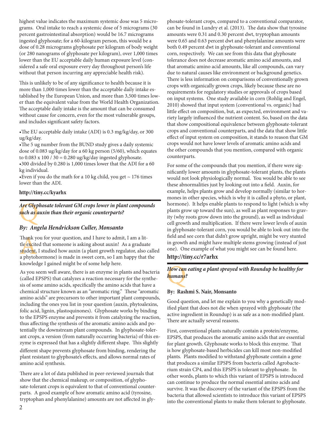highest value indicates the maximum systemic dose was 5 micrograms. Oral intake to reach a systemic dose of 5 micrograms (30 percent gastrointestinal absorption) would be 16.7 micrograms ingested glyphosate; for a 60-kilogram person, this would be a dose of 0.28 micrograms glyphosate per kilogram of body weight (or 280 nanograms of glyphosate per kilogram), over 1,000 times lower than the EU acceptable daily human exposure level (considered a safe oral exposure every day throughout person's life without that person incurring any appreciable health risk).

This is unlikely to be of any significance to health because it is more than 1,000 times lower than the acceptable daily intake established by the European Union, and more than 3,500 times lower than the equivalent value from the World Health Organization. The acceptable daily intake is the amount that can be consumed without cause for concern, even for the most vulnerable groups, and includes significant safety factors.

•The EU acceptable daily intake (ADI) is 0.3 mg/kg/day, or 300 ug/kg/day.

•The 5 ug number from the BUND study gives a daily systemic dose of 0.083 ug/kg/day for a 60 kg person (5/60), which equates to  $0.083$  x  $100 / 30 = 0.280$  ug/kg/day ingested glyphosate. •300 divided by 0.280 is 1,000 times lower that the ADI for a 60 kg individual.

•Even if you do the math for a 10 kg child, you get  $\sim$  176 times lower than the ADI.

#### **http://tiny.cc/kyarhx**

Are Glyphosate tolerant GM crops lower in plant compounds<br><mark>su</mark>ch as <mark>auxin than their organic counterparts?</mark><br>But Angela Handrickson Culler Monsanto *such as auxin than their organic counterparts?*

#### *By: Angela Hendrickson Culler, Monsanto*

Thank you for your question, and I have to admit, I am a lit-<br>tle excited that someone is asking about auxin! As a graduat<br>student, I studied how auxin (a plant growth regulator, also<br>a phytohormone) is made in sweet corn, tle excited that someone is asking about auxin! As a graduate student, I studied how auxin (a plant growth regulator, also called a phytohormone) is made in sweet corn, so I am happy that the knowledge I gained might be of some help here.

As you seem well aware, there is an enzyme in plants and bacteria (called EPSPS) that catalyzes a reaction necessary for the synthesis of some amino acids, specifically the amino acids that have a chemical structure known as an "aromatic ring." These "aromatic amino acids" are precursors to other important plant compounds, including the ones you list in your question (auxin, phytoalexins, folic acid, lignin, plastoquinones). Glyphosate works by binding to the EPSPS enzyme and prevents it from catalyzing the reaction, thus affecting the synthesis of the aromatic amino acids and potentially the downstream plant compounds. In glyphosate-tolerant crops, a version (from naturally occurring bacteria) of this enzyme is expressed that has a slightly different shape. This slightly different shape prevents glyphosate from binding, rendering the plant resistant to glyphosate's effects, and allows normal rates of amino acid synthesis.

There are a lot of data published in peer-reviewed journals that show that the chemical makeup, or composition, of glyphosate-tolerant crops is equivalent to that of conventional counterparts. A good example of how aromatic amino acid (tyrosine, tryptophan and phenylalanine) amounts are not affected in glyphosate-tolerant crops, compared to a conventional comparator, can be found in Lundry et al. (2013). The data show that tyrosine amounts were 0.31 and 0.30 percent dwt, tryptophan amounts were 0.65 and 0.63 percent dwt and phenylalanine amounts were both 0.49 percent dwt in glyphosate-tolerant and conventional corn, respectively. We can see from this data that glyphosate tolerance does not decrease aromatic amino acid amounts, and that aromatic amino acid amounts, like all compounds, can vary due to natural causes like environment or background genetics. There is less information on comparisons of conventionally grown crops with organically grown crops, likely because these are no requirements for regulatory studies or approvals of crops based on input systems. One study available in corn (Rohlig and Engel, 2010) showed that input system (conventional vs. organic) had little effect on composition, but, as expected, environment and variety largely influenced the nutrient content. So, based on the data that show compositional equivalence between glyphosate-tolerant crops and conventional counterparts, and the data that show little effect of input system on composition, it stands to reason that GM crops would not have lower levels of aromatic amino acids and the other compounds that you mention, compared with organic counterparts.

For some of the compounds that you mention, if there were significantly lower amounts in glyphosate-tolerant plants, the plants would not look physiologically normal. You would be able to see these abnormalities just by looking out into a field. Auxin, for example, helps plants grow and develop normally (similar to hormones in other species, which is why it is called a phyto, or plant, hormone). It helps enable plants to respond to light (which is why plants grow up toward the sun), as well as plant responses to gravity (why roots grow down into the ground), as well as individual cell growth and multiplication. If there were lower levels of auxin in glyphosate-tolerant corn, you would be able to look out into the field and see corn that didn't grow upright, might be very stunted in growth and might have multiple stems growing (instead of just one). One example of what you might see can be found here. **http://tiny.cc/r7arhx**

# How can eating a plant sprayed with Roundup be healthy for<br>h<mark>umans?</mark><br>Party of *Marty Marty humans?*

#### **By: Rashmi S. Nair, Monsanto**

Good question, and let me explain to you why a genetically modified plant that does not die when sprayed with glyphosate (the active ingredient in Roundup) is as safe as a non-modified plant. There are actually several reasons.

First, conventional plants naturally contain a protein/enzyme, EPSPS, that produces the aromatic amino acids that are essential for plant growth. Glyphosate works to block this enzyme. That is how glyphosate-based herbicides can kill most non-modified plants. Plants modified to withstand glyphosate contain a gene that produces a similar EPSPS from bacteria called Agrobacterium strain CP4, and this EPSPS is tolerant to glyphosate. In other words, plants to which this variant of EPSPS is introduced can continue to produce the normal essential amino acids and survive. It was the discovery of the variant of the EPSPS from the bacteria that allowed scientists to introduce this variant of EPSPS into the conventional plants to make them tolerant to glyphosate.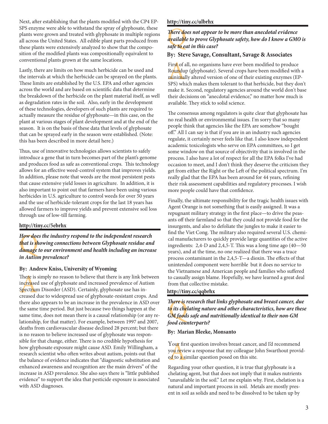Next, after establishing that the plants modified with the CP4 EP-SPS enzyme were able to withstand the spray of glyphosate, these plants were grown and treated with glyphosate in multiple regions all across the United States. All edible plant parts produced from these plants were extensively analyzed to show that the composition of the modified plants was compositionally equivalent to conventional plants grown at the same locations.

Lastly, there are limits on how much herbicide can be used and the intervals at which the herbicide can be sprayed on the plants. These limits are established by the U.S. EPA and other agencies across the world and are based on scientific data that determine the breakdown of the herbicide on the plant material itself, as well as degradation rates in the soil. Also, early in the development of these technologies, developers of such plants are required to actually measure the residue of glyphosate—in this case, on the plant at various stages of plant development and at the end of the season. It is on the basis of these data that levels of glyphosate that can be sprayed early in the season were established. (Note: this has been described in more detail here.)

Thus, use of innovative technologies allows scientists to safely introduce a gene that in turn becomes part of the plant's genome and produces food as safe as conventional crops. This technology allows for an effective weed-control system that improves yields. In addition, please note that weeds are the most persistent pests that cause extensive yield losses in agriculture. In addition, it is also important to point out that farmers have been using various herbicides in U.S. agriculture to control weeds for over 50 years and the use of herbicide-tolerant crops for the last 18 years has allowed farmers to improve yields and prevent extensive soil loss through use of low-till farming.

#### **http://tiny.cc/5ebrhx**

How doe<br>t<mark>h</mark>at is <mark>s</mark>h<br>damage<br>in Autisi *How does the industry respond to the independent research that is showing connections between Glyphosate residue and damage to our environment and health including an increase in Autism prevalence?* 

#### **By: Andrew Kniss, University of Wyoming**

The<mark>r</mark>e is<br>increase<br>Spectrur<br>creased There is simply no reason to believe that there is any link between inc<mark>rea</mark>sed use of glyphosate and increased prevalence of Autism Spectrum Disorder (ASD). Certainly, glyphosate use has increased due to widespread use of glyphosate-resistant crops. And there also appears to be an increase in the prevalence in ASD over the same time period. But just because two things happen at the same time, does not mean there is a causal relationship (or any relationship, for that matter). For example, between 1997 and 2007, deaths from cardiovascular disease declined 28 percent; but there is no reason to believe increased use of glyphosate was responsible for that change, either. There is no credible hypothesis for how glyphosate exposure might cause ASD. Emily Willingham, a research scientist who often writes about autism, points out that the balance of evidence indicates that "diagnostic substitution and enhanced awareness and recognition are the main drivers" of the increase in ASD prevalence. She also says there is "little published evidence" to support the idea that pesticide exposure is associated with ASD diagnoses.

#### **http://tiny.cc/ulbrhx**

#### There do<br>availabl<br>safe to ed *There does not appear to be more than anecdotal evidence available to prove Glyphosate safety, how do I know a GMO is safe to eat in this case?*

#### **By: Steve Savage, Consultant, Savage & Associates**

Firs<mark>t</mark> of all, no organisms have ever been modified to produce<br>Roundup (glyphosate). Several crops have been modified with<br>minimally altered version of one of their existing enzymes (EE<br>SPS) which makes them tolerant to t Roundup (glyphosate). Several crops have been modified with a minimally altered version of one of their existing enzymes (EP-SPS) which makes them tolerant to that herbicide, but they don't make it. Second, regulatory agencies around the world don't base their decisions on "anecdotal evidence," no matter how much is available. They stick to solid science.

The consensus among regulators is quite clear that glyphosate has no real health or environmental issues. I'm sorry that so many people think that agencies like the EPA are somehow "bought off." All I can say is that if you are in an industry such agencies regulate, it certainly never feels like that. I also know independent academic toxicologists who serve on EPA committees, so I get some window on that source of objectivity that is involved in the process. I also have a lot of respect for all the EPA folks I've had occasion to meet, and I don't think they deserve the criticism they get from either the Right or the Left of the political spectrum. I'm really glad that the EPA has been around for 44 years, refining their risk assessment capabilities and regulatory processes. I wish more people could have that confidence.

Finally, the ultimate responsibility for the tragic health issues with Agent Orange is not something that is easily assigned. It was a repugnant military strategy in the first place—to drive the peasants off their farmland so that they could not provide food for the insurgents, and also to defoliate the jungles to make it easier to find the Viet Cong. The military also required several U.S. chemical manufacturers to quickly provide large quantities of the active ingredients: 2,4-D and 2,4,5-T. This was a long time ago (40—50 years), and at the time, no one realized that there was a trace process contaminant in the 2,4,5-T—a dioxin. The effects of that unintended component were horrible but it does no service to the Vietnamese and American people and families who suffered to casually assign blame. Hopefully, we have learned a great deal from that collective mistake.

#### **http://tiny.cc/qqbrhx**

There is 1<br>t<mark>o</mark> its che<br>GM food<br>food cou1 *There is research that links glyphosate and breast cancer, due to its chelating nature and other characteristics, how are these GM foods safe and nutritionally identical to their non-GM food counterparts?*

#### **By: Marian Bleeke, Monsanto**

Your first question involves breast cancer, and I'd recommend<br>you review a response that my colleague John Swarthout proviet<br>in a similar question posed on this site.<br>Beneding way of her meeting, it is two that about a pos you review a response that my colleague John Swarthout provided to a similar question posed on this site.

Regarding your other question, it is true that glyphosate is a chelating agent, but that does not imply that it makes nutrients "unavailable in the soil." Let me explain why. First, chelation is a natural and important process in soil. Metals are mostly present in soil as solids and need to be dissolved to be taken up by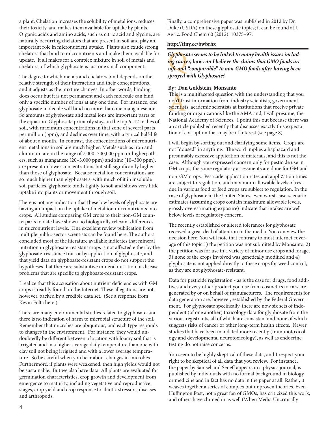a plant. Chelation increases the solubility of metal ions, reduces their toxicity, and makes them available for uptake by plants. Organic acids and amino acids, such as citric acid and glycine, are naturally occurring chelators that are present in soil and play an important role in micronutrient uptake. Plants also exude strong chelators that bind to micronutrients and make them available for update. It all makes for a complex mixture in soil of metals and chelators, of which glyphosate is just one small component.

The degree to which metals and chelators bind depends on the relative strength of their interaction and their concentrations, and it adjusts as the mixture changes. In other words, binding does occur but it is not permanent and each molecule can bind only a specific number of ions at any one time. For instance, one glyphosate molecule will bind no more than one manganese ion. So amounts of glyphosate and metal ions are important parts of the equation. Glyphosate primarily stays in the top 6–12 inches of soil, with maximum concentrations in that zone of several parts per million (ppm), and declines over time, with a typical half-life of about a month. In contrast, the concentrations of micronutrient metal ions in soil are much higher. Metals such as iron and aluminum are in the range of 7,000–300,000 ppm or higher; others, such as manganese (20–3,000 ppm) and zinc (10–300 ppm), are present in lower concentrations but still significantly higher than those of glyphosate. Because metal ion concentrations are so much higher than glyphosate's, with much of it in insoluble soil particles, glyphosate binds tightly to soil and shows very little uptake into plants or movement through soil.

There is not any indication that these low levels of glyphosate are having an impact on the uptake of metal ion micronutrients into crops. All studies comparing GM crops to their non-GM counterparts to date have shown no biologically relevant differences in micronutrient levels. One excellent review publication from multiple public-sector scientists can be found here. The authors concluded most of the literature available indicates that mineral nutrition in glyphosate-resistant crops is not affected either by the glyphosate-resistance trait or by application of glyphosate, and that yield data on glyphosate-resistant crops do not support the hypotheses that there are substantive mineral nutrition or disease problems that are specific to glyphosate-resistant crops.

I realize that this accusation about nutrient deficiencies with GM crops is readily found on the Internet. These allegations are not, however, backed by a credible data set. (See a response from Kevin Folta here.)

There are many environmental studies related to glyphosate, and there is no indication of harm to microbial structure of the soil. Remember that microbes are ubiquitous, and each type responds to changes in the environment. For instance, they would undoubtedly be different between a location with loamy soil that is irrigated and in a higher average daily temperature than one with clay soil not being irrigated and with a lower average temperature. So be careful when you hear about changes in microbes. Furthermore, if plants were weakened, then high yields would not be sustainable. But we also have data. All plants are evaluated for germination characteristics, crop growth and development from emergence to maturity, including vegetative and reproductive stages, crop yield and crop response to abiotic stressors, diseases and arthropods.

Finally, a comprehensive paper was published in 2012 by Dr. Duke (USDA) on these glyphosate topics; it can be found at J. Agric. Food Chem 60 (2012): 10375–97.

#### **http://tiny.cc/bwbrhx**

G<mark>lyphos</mark>a<br>i<mark>n</mark>g can<mark>ce</mark><br>safe and<br>straved r *Glyphosate seems to be linked to many health issues including cancer, how can I believe the claims that GMO foods are safe and "comparable" to non-GMO foods after having been sprayed with Glyphosate?*

#### **By: Dan Goldstein, Monsanto**

This is a<br>don't tru<br>scientist<br>funding This is a multifaceted question with the understanding that you don't trust information from industry scientists, government scientists, academic scientists at institutions that receive private funding or organizations like the AMA and, I will presume, the National Academy of Sciences. I point this out because there was an article published recently that discusses exactly this expectation of corruption that may be of interest (see page 8).

I will begin by sorting out and clarifying some items. Crops are not "doused" in anything. The word implies a haphazard and presumably excessive application of materials, and this is not the case. Although you expressed concern only for pesticide use in GM crops, the same regulatory assessments are done for GM and non-GM crops. Pesticide application rates and application times are subject to regulation, and maximum allowable levels of residue in various food or feed crops are subject to regulation. In the case of glyphosate in the United States, even worst-case-scenario estimates (assuming crops contain maximum allowable levels, grossly overestimating exposure) indicate that intakes are well below levels of regulatory concern.

The recently established or altered tolerances for glyphosate received a great deal of attention in the media. You can view the decision here. You will note that contrary to most internet coverage of this topic 1) the petition was not submitted by Monsanto, 2) the petition was for use in a variety of minor use crops and forage, 3) none of the crops involved was genetically modified and 4) glyphosate is not applied directly to these crops for weed control, as they are not glyphosate-resistant.

Data for pesticide registration - as is the case for drugs, food additives and every other product you use from cosmetics to cars are generated by or on behalf of manufacturers. The requirements for data generation are, however, established by the Federal Government. For glyphosate specifically, there are now six sets of independent (of one another) toxicology data for glyphosate from the various registrants, all of which are consistent and none of which suggests risks of cancer or other long-term health effects. Newer studies that have been mandated more recently (immunotoxicology and developmental neurotoxicology), as well as endocrine testing do not raise concerns.

You seem to be highly skeptical of these data, and I respect your right to be skeptical of all data that you review. For instance, the paper by Samsel and Seneff appears in a physics journal, is published by individuals with no formal background in biology or medicine and in fact has no data in the paper at all. Rather, it weaves together a series of complex but unproven theories. Even Huffington Post, not a great fan of GMOs, has criticized this work, and others have chimed in as well (When Media Uncritically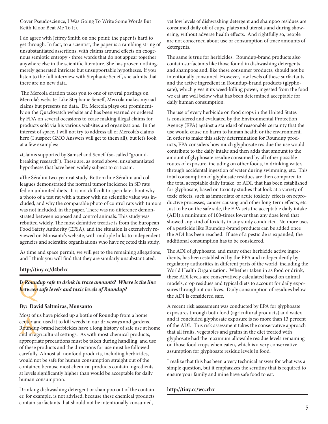Cover Pseudoscience, I Was Going To Write Some Words But Keith Kloor Beat Me To It).

I do agree with Jeffrey Smith on one point: the paper is hard to get through. In fact, to a scientist, the paper is a rambling string of unsubstantiated assertions, with claims around effects on exogenous semiotic entropy - three words that do not appear together anywhere else in the scientific literature. She has proven nothingmerely generated intricate but unsupportable hypotheses. If you listen to the full interview with Stephanie Seneff, she admits that there are no new data.

 The Mercola citation takes you to one of several postings on Mercola's website. Like Stephanie Seneff, Mercola makes myriad claims but presents no data. Dr. Mercola plays out prominently on the Quackwatch website and has been warned or ordered by FDA on several occasions to cease making illegal claims for products sold via his various websites and organizations. In the interest of space, I will not try to address all of Mercola's claims here (I suspect GMO Answers will get to them all), but let's look at a few examples:

•Claims supported by Samsel and Seneff (so-called "groundbreaking research"). These are, as noted above, unsubstantiated hypotheses that have been widely subject to criticism.

•The Séralini two-year rat study. Bottom line Séralini and colleagues demonstrated the normal tumor incidence in SD rats fed on unlimited diets. It is not difficult to speculate about why a photo of a test rat with a tumor with no scientific value was included, and why the comparable photo of control rats with tumors was not included, in the paper. There was no difference demonstrated between exposed and control animals. This study was rebutted widely. The most definitive treatise is from the European Food Safety Authority (EFSA), and the situation is extensively reviewed on Monsanto's website, with multiple links to independent agencies and scientific organizations who have rejected this study.

As time and space permit, we will get to the remaining allegations, and I think you will find that they are similarly unsubstantiated.

#### **http://tiny.cc/d4brhx**

Q *Is Roundup safe to drink in trace amounts? Where is the line between safe levels and toxic levels of Roundup?*

#### **By: David Saltmiras, Monsanto**

Most or<br>center an<br>Roundu<sub>l</sub><br>and in ag Most of us have picked up a bottle of Roundup from a home center and used it to kill weeds in our driveways and gardens. Roundup-brand herbicides have a long history of safe use at home and in agricultural settings. As with most chemical products, appropriate precautions must be taken during handling, and use of these products and the directions for use must be followed carefully. Almost all nonfood products, including herbicides, would not be safe for human consumption straight out of the container, because most chemical products contain ingredients at levels significantly higher than would be acceptable for daily human consumption.

Drinking dishwashing detergent or shampoo out of the container, for example, is not advised, because these chemical products contain surfactants that should not be intentionally consumed,

yet low levels of dishwashing detergent and shampoo residues are consumed daily off of cups, plates and utensils and during showering, without adverse health effects. And rightfully so, people are not concerned about use or consumption of trace amounts of detergents.

The same is true for herbicides. Roundup-brand products also contain surfactants like those found in dishwashing detergents and shampoos and, like these consumer products, should not be intentionally consumed. However, low levels of these surfactants and the active ingredient in Roundup-brand products (glyphosate), which gives it its weed-killing power, ingested from the food we eat are well below what has been determined acceptable for daily human consumption.

The use of every herbicide on food crops in the United States is considered and evaluated by the Environmental Protection Agency (EPA) against a standard of reasonable certainty that the use would cause no harm to human health or the environment. In order to make this safety determination for Roundup products, EPA considers how much glyphosate residue the use would contribute to the daily intake and then adds that amount to the amount of glyphosate residue consumed by all other possible routes of exposure, including on other foods, in drinking water, through accidental ingestion of water during swimming, etc. This total consumption of glyphosate residues are then compared to the total acceptable daily intake, or ADI, that has been established for glyphosate, based on toxicity studies that look at a variety of toxic effects, such as immediate or acute toxicity, effects on reproductive processes, cancer-causing and other long-term effects, etc. Just to be on the safe side, the EPA sets the acceptable daily intake (ADI) a minimum of 100-times lower than any dose level that showed any kind of toxicity in any study conducted. No more uses of a pesticide like Roundup-brand products can be added once the ADI has been reached. If use of a pesticide is expanded, the additional consumption has to be considered.

The ADI of glyphosate, and many other herbicide active ingredients, has been established by the EPA and independently by regulatory authorities in different parts of the world, including the World Health Organization. Whether taken in as food or drink, these ADI levels are conservatively calculated based on animal models, crop residues and typical diets to account for daily exposures throughout our lives. Daily consumption of residues below the ADI is considered safe.

A recent risk assessment was conducted by EPA for glyphosate exposures through both food (agricultural products) and water, and it concluded glyphosate exposure is no more than 13 percent of the ADI. This risk assessment takes the conservative approach that all fruits, vegetables and grains in the diet treated with glyphosate had the maximum allowable residue levels remaining on those food crops when eaten, which is a very conservative assumption for glyphosate residue levels in food.

I realize that this has been a very technical answer for what was a simple question, but it emphasizes the scrutiny that is required to ensure your family and mine have safe food to eat.

#### **http://tiny.cc/wccrhx**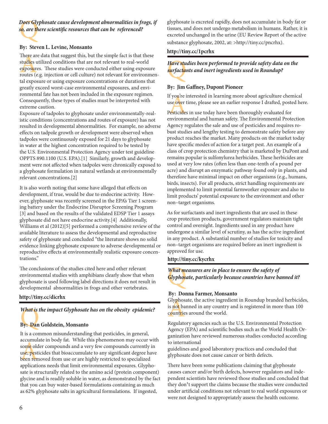Does Gly<br>s<mark>o</mark>, are th *Does Glyphosate cause development abnormalities in frogs, if so, are there scientific resources that can be referenced?*

#### **By: Steven L. Levine, Monsanto**

There ar<br>stu<mark>die</mark>s u<br>exposur<br>routes (e There are data that suggest this, but the simple fact is that these studies utilized conditions that are not relevant to real-world exposures. These studies were conducted either using exposure routes (e.g. injection or cell culture) not relevant for environmental exposure or using exposure concentrations or durations that greatly exceed worst-case environmental exposures, and environmental fate has not been included in the exposure regimen. Consequently, these types of studies must be interpreted with extreme caution.

Exposure of tadpoles to glyphosate under environmentally-realistic conditions (concentrations and routes of exposure) has not resulted in developmental abnormalities. For example, no adverse effects on tadpole growth or development were observed when tadpoles were continuously exposed for 21 days to glyphosate in water at the highest concentration required to be tested by the U.S. Environmental Protection Agency under test guideline OPPTS 890.1100 (U.S. EPA).[1] Similarly, growth and development were not affected when tadpoles were chronically exposed to a glyphosate formulation in natural wetlands at environmentally relevant concentrations.[2]

It is also worth noting that some have alleged that effects on development, if true, would be due to endocrine activity. However, glyphosate was recently screened in the EPA's Tier 1 screening battery under the Endocrine Disruptor Screening Program [3] and based on the results of the validated EDSP Tier 1 assays glyphosate did not have endocrine activity.[4] Additionally, Williams et al (2012)[5] performed a comprehensive review of the available literature to assess the developmental and reproductive safety of glyphosate and concluded "the literature shows no solid evidence linking glyphosate exposure to adverse developmental or reproductive effects at environmentally realistic exposure concentrations."

The conclusions of the studies cited here and other relevant environmental studies with amphibians clearly show that when glyphosate is used following label directions it does not result in developmental abnormalities in frogs and other vertebrates.

#### **http://tiny.cc/dicrhx**

# What is the impact Glyphosate has on the obesity epidemic?<br>By: Dan Goldstein, Monsanto

#### **By: Dan Goldstein, Monsanto**

accumulate in body fat. While this phenometon may occur w<br>some older compounds and a very few compounds currently if<br>use, pesticides that bioaccumulate to any significant degree ha<br>been removed from use or are highly restr It is a common misunderstanding that pesticides, in general, accumulate in body fat. While this phenomenon may occur with some older compounds and a very few compounds currently in use, pesticides that bioaccumulate to any significant degree have applications needs that limit environmental exposures. Glyphosate is structurally related to the amino acid (protein component) glycine and is readily soluble in water, as demonstrated by the fact that you can buy water-based formulations containing as much as 62% glyphosate salts in agricultural formulations. If ingested,

glyphosate is excreted rapidly, does not accumulate in body fat or tissues, and does not undergo metabolism in humans. Rather, it is excreted unchanged in the urine (EU Review Report of the active substance glyphosate, 2002, at: >http://tiny.cc/pncrhx).

#### **http://tiny.cc/1pcrhx**

Have studies been performed to provide safety data on the<br>s<mark>u</mark>rfact<mark>a</mark>nts and inert ingredients used in Roundup? *surfactants and inert ingredients used in Roundup?*

#### **By: Jim Gaffney, Dupont Pioneer**

f you're i<br>use <mark>ov</mark>er<br>Pesticide<br>nyironn If you're interested in learning more about agriculture chemical use <mark>ov</mark>er time, please see an earlier response I drafted, posted here.

Pesticides in use today have been thoroughly evaluated for environmental and human safety. The Environmental Protection Agency regulates the sale and use of pesticides and requires robust studies and lengthy testing to demonstrate safety before any product reaches the market. Many products on the market today have specific modes of action for a target pest. An example of a class of crop protection chemistry that is marketed by DuPont and remains popular is sulfonylurea herbicides. These herbicides are used at very low rates (often less than one-tenth of a pound per acre) and disrupt an enzymatic pathway found only in plants, and therefore have minimal impact on other organisms (e.g., humans, birds, insects). For all products, strict handling requirements are implemented to limit potential farmworker exposure and also to limit products' potential exposure to the environment and other non–target organisms.

As for surfactants and inert ingredients that are used in these crop protection products, government regulators maintain tight control and oversight. Ingredients used in any product have undergone a similar level of scrutiny, as has the active ingredient in any product. A substantial number of studies for toxicity and non–target organisms are required before an inert ingredient is approved for use.

#### **http://tiny.cc/kycrhx**

What me<br><mark>G</mark>lyphose *What measures are in place to ensure the safety of Glyphosate, particularly because countries have banned it?*

#### **By: Donna Farmer, Monsanto**

Glyphos<br>is <mark>not</mark> ba<br>countrie<br><sup>Regulate</sup> Glyphosate, the active ingredient in Roundup branded herbicides, is not banned in any country and is registered in more than 100 countries around the world.

Regulatory agencies such as the U.S. Environmental Protection Agency (EPA) and scientific bodies such as the World Health Organization have reviewed numerous studies conducted according to international

guidelines and good laboratory practices and concluded that glyphosate does not cause cancer or birth defects.

There have been some publications claiming that glyphosate causes cancer and/or birth defects, however regulators and independent scientists have reviewed those studies and concluded that they don<sup>1</sup>t support the claims because the studies were conducted under artificial conditions not relevant to real world exposures or were not designed to appropriately assess the health outcome.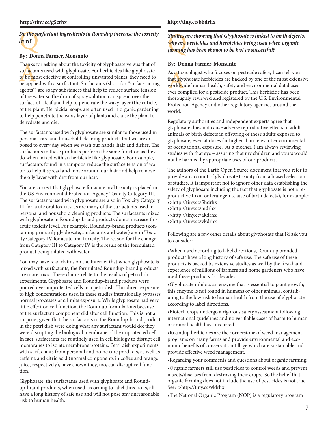# Do the surfactant ingredients in Roundup increase the toxicity<br>level?<br>Pry Power Fermer Monsento *level?*

#### **By: Donna Farmer, Monsanto**

Thanks<br>surfacta<br>to be mo<br>be appli Thanks for asking about the toxicity of glyphosate versus that of surfactants used with glyphosate. For herbicides like glyphosate to be most effective at controlling unwanted plants, they need to be applied with a surfactant. Surfactants (short for "surface-acting agents") are soapy substances that help to reduce surface tension of the water so the drop of spray solution can spread over the surface of a leaf and help to penetrate the waxy layer (the cuticle) of the plant. Herbicidal soaps are often used in organic gardening to help penetrate the waxy layer of plants and cause the plant to dehydrate and die.

The surfactants used with glyphosate are similar to those used in personal-care and household cleaning products that we are exposed to every day when we wash our hands, hair and dishes. The surfactants in these products perform the same function as they do when mixed with an herbicide like glyphosate. For example, surfactants found in shampoos reduce the surface tension of water to help it spread and move around our hair and help remove the oily layer with dirt from our hair.

You are correct that glyphosate for acute oral toxicity is placed in the US Environmental Protection Agency Toxicity Category III. The surfactants used with glyphosate are also in Toxicity Category III for acute oral toxicity, as are many of the surfactants used in personal and household cleaning products. The surfactants mixed with glyphosate in Roundup-brand products do not increase this acute toxicity level. For example, Roundup-brand products (containing primarily glyphosate, surfactants and water) are in Toxicity Category IV for acute oral toxicity. The reason for the change from Category III to Category IV is the result of the formulated product being diluted with water.

You may have read claims on the Internet that when glyphosate is mixed with surfactants, the formulated Roundup-brand products are more toxic. These claims relate to the results of petri dish experiments. Glyphosate and Roundup-brand products were poured over unprotected cells in a petri dish. This direct exposure to high concentrations used in these studies intentionally bypasses normal processes and limits exposure. While glyphosate had very little effect on cell function, the Roundup formulations because of the surfactant component did alter cell function. This is not a surprise, given that the surfactants in the Roundup-brand product in the petri dish were doing what any surfactant would do: they were disrupting the biological membrane of the unprotected cell. In fact, surfactants are routinely used in cell biology to disrupt cell membranes to isolate membrane proteins. Petri dish experiments with surfactants from personal and home care products, as well as caffeine and citric acid (normal components in coffee and orange juice, respectively), have shown they, too, can disrupt cell function.

Glyphosate, the surfactants used with glyphosate and Roundup-brand products, when used according to label directions, all have a long history of safe use and will not pose any unreasonable risk to human health.

#### **http://tiny.cc/bbdrhx**

Studies d<br>why are<br>farming *Studies are showing that Glyphosate is linked to birth defects, why are pesticides and herbicides being used when organic farming has been shown to be just as successful?*

#### **By: Donna Farmer, Monsanto**

As a toxicologist who focuses on pesticide safety, I can tell you that glyphosate herbicides are backed by one of the most extensional worldwide human health, safety and environmental databases ever compiled for a pesticid that glyphosate herbicides are backed by one of the most extensive worldwide human health, safety and environmental databases ever compiled for a pesticide product. This herbicide has been thoroughly reviewed and registered by the U.S. Environmental Protection Agency and other regulatory agencies around the world.

Regulatory authorities and independent experts agree that glyphosate does not cause adverse reproductive effects in adult animals or birth defects in offspring of these adults exposed to glyphosate, even at doses far higher than relevant environmental or occupational exposure. As a mother, I am always reviewing studies with that eye – assuring that my children and yours would not be harmed by appropriate uses of our products.

The authors of the Earth Open Source document that you refer to provide an account of glyphosate toxicity from a biased selection of studies. It is important not to ignore other data establishing the safety of glyphosate including the fact that glyphosate is not a reproductive toxin or teratogen (cause of birth defects), for example: •>http://tiny.cc/5hdrhx

- •>http://tiny.cc/6idrhx
- •>http://tiny.cc/akdrhx
- •>http://tiny.cc/vkdrhx

Following are a few other details about glyphosate that I'd ask you to consider:

•When used according to label directions, Roundup branded products have a long history of safe use. The safe use of these products is backed by extensive studies as well by the first-hand experience of millions of farmers and home gardeners who have used these products for decades.

•Glyphosate inhibits an enzyme that is essential to plant growth; this enzyme is not found in humans or other animals, contributing to the low risk to human health from the use of glyphosate according to label directions.

•Biotech crops undergo a rigorous safety assessment following international guidelines and no verifiable cases of harm to human or animal health have occurred.

•Roundup herbicides are the cornerstone of weed management programs on many farms and provide environmental and economic benefits of conservation tillage which are sustainable and provide effective weed management.

•Regarding your comments and questions about organic farming:

•Organic farmers still use pesticides to control weeds and prevent insects/diseases from destroying their crops. So the belief that organic farming does not include the use of pesticides is not true. See: >http://tiny.cc/9ldrhx

•The National Organic Program (NOP) is a regulatory program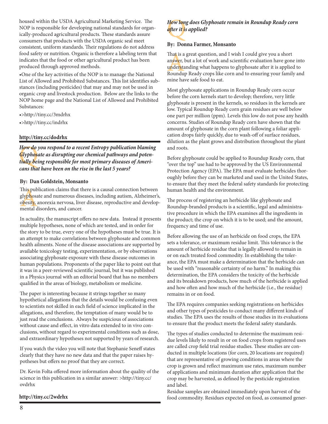housed within the USDA Agricultural Marketing Service. The NOP is responsible for developing national standards for organically-produced agricultural products. These standards assure consumers that products with the USDA organic seal meet consistent, uniform standards. Their regulations do not address food safety or nutrition. Organic is therefore a labeling term that indicates that the food or other agricultural product has been produced through approved methods.

•One of the key activities of the NOP is to manage the National List of Allowed and Prohibited Substances. This list identifies substances (including pesticides) that may and may not be used in organic crop and livestock production. Below are the links to the NOP home page and the National List of Allowed and Prohibited Substances:

•>http://tiny.cc/3mdrhx

•>http://tiny.cc/indrhx

#### **http://tiny.cc/dodrhx**

How do<br><mark>G</mark>lyphos<br>tially be<br>cans tha *How do you respond to a recent Entropy publication blaming Glyphosate as disrupting our chemical pathways and potentially being responsible for most primary diseases of Americans that have been on the rise in the last 5 years?*

#### **By: Dan Goldstein, Monsanto**

This publication claims that the<br>glyphosate and numerous dise<br>obesity, anorexia nervosa, live<br>mental disorders, and cancer. This publication claims that there is a causal connection between glyphosate and numerous diseases, including autism, Alzheimer's, obesity, anorexia nervosa, liver disease, reproductive and develop-

In actuality, the manuscript offers no new data. Instead it presents multiple hypotheses, none of which are tested, and in order for the story to be true, every one of the hypotheses must be true. It is an attempt to make correlations between glyphosate and common health ailments. None of the disease associations are supported by available toxicology testing, experimentation, or by observations associating glyphosate exposure with these disease outcomes in human populations. Proponents of the paper like to point out that it was in a peer-reviewed scientific journal, but it was published in a Physics journal with an editorial board that has no members qualified in the areas of biology, metabolism or medicine.

The paper is interesting because it strings together so many hypothetical allegations that the details would be confusing even to scientists not skilled in each field of science implicated in the allegations, and therefore, the temptation of many would be to just read the conclusions. Always be suspicious of associations without cause and effect, in vitro data extended to in vivo conclusions, without regard to experimental conditions such as dose, and extraordinary hypotheses not supported by years of research.

If you watch the video you will note that Stephanie Seneff states clearly that they have no new data and that the paper raises hypotheses but offers no proof that they are correct.

Dr. Kevin Folta offered more information about the quality of the science in this publication in a similar answer: >http://tiny.cc/ ovdrhx

#### **http://tiny.cc/2wdrhx**

## How lon<br>after it is<br>B *How long does Glyphosate remain in Roundup Ready corn after it is applied?*

#### **By: Donna Farmer, Monsanto**

That is a<br>an<mark>swe</mark>r, 1<br>understa<br>Roundu That is a great question, and I wish I could give you a short answer, but a lot of work and scientific evaluation have gone into understanding what happens to glyphosate after it is applied to Roundup Ready crops like corn and to ensuring your family and mine have safe food to eat.

Most glyphosate applications in Roundup Ready corn occur before the corn kernels start to develop; therefore, very little glyphosate is present in the kernels, so residues in the kernels are low. Typical Roundup Ready corn grain residues are well below one part per million (ppm). Levels this low do not pose any health concerns. Studies of Roundup Ready corn have shown that the amount of glyphosate in the corn plant following a foliar application drops fairly quickly, due to wash-off of surface residues, dilution as the plant grows and distribution throughout the plant and roots.

Before glyphosate could be applied to Roundup Ready corn, that "over the top" use had to be approved by the US Environmental Protection Agency (EPA). The EPA must evaluate herbicides thoroughly before they can be marketed and used in the United States, to ensure that they meet the federal safety standards for protecting human health and the environment.

The process of registering an herbicide like glyphosate and Roundup-branded products is a scientific, legal and administrative procedure in which the EPA examines all the ingredients in the product; the crop on which it is to be used; and the amount, frequency and time of use.

Before allowing the use of an herbicide on food crops, the EPA sets a tolerance, or maximum residue limit. This tolerance is the amount of herbicide residue that is legally allowed to remain in or on each treated food commodity. In establishing the tolerance, the EPA must make a determination that the herbicide can be used with "reasonable certainty of no harm." In making this determination, the EPA considers the toxicity of the herbicide and its breakdown products, how much of the herbicide is applied and how often and how much of the herbicide (i.e., the residue) remains in or on food.

The EPA requires companies seeking registrations on herbicides and other types of pesticides to conduct many different kinds of studies. The EPA uses the results of those studies in its evaluations to ensure that the product meets the federal safety standards.

The types of studies conducted to determine the maximum residue levels likely to result in or on food crops from registered uses are called crop field trial residue studies. These studies are conducted in multiple locations (for corn, 20 locations are required) that are representative of growing conditions in areas where the crop is grown and reflect maximum use rates, maximum number of applications and minimum duration after application that the crop may be harvested, as defined by the pesticide registration and label.

Residue samples are obtained immediately upon harvest of the food commodity. Residues expected on food, as consumed gener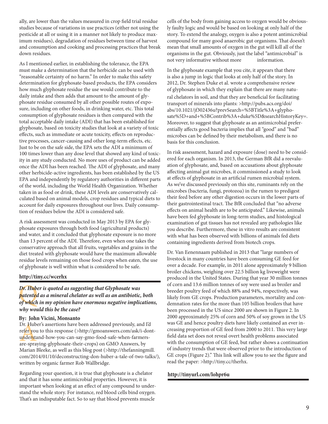ally, are lower than the values measured in crop field trial residue studies because of variations in use practices (either not using the pesticide at all or using it in a manner not likely to produce maximum residues), degradation of residues between time of harvest and consumption and cooking and processing practices that break down residues.

As I mentioned earlier, in establishing the tolerance, the EPA must make a determination that the herbicide can be used with "reasonable certainty of no harm." In order to make this safety determination for glyphosate-based products, the EPA considers how much glyphosate residue the use would contribute to the daily intake and then adds that amount to the amount of glyphosate residue consumed by all other possible routes of exposure, including on other foods, in drinking water, etc. This total consumption of glyphosate residues is then compared with the total acceptable daily intake (ADI) that has been established for glyphosate, based on toxicity studies that look at a variety of toxic effects, such as immediate or acute toxicity, effects on reproductive processes, cancer-causing and other long-term effects, etc. Just to be on the safe side, the EPA sets the ADI a minimum of 100 times lower than any dose level that showed any kind of toxicity in any study conducted. No more uses of product can be added once the ADI has been reached. The ADI of glyphosate, and many other herbicide-active ingredients, has been established by the US EPA and independently by regulatory authorities in different parts of the world, including the World Health Organization. Whether taken in as food or drink, these ADI levels are conservatively calculated based on animal models, crop residues and typical diets to account for daily exposures throughout our lives. Daily consumption of residues below the ADI is considered safe.

A risk assessment was conducted in May 2013 by EPA for glyphosate exposures through both food (agricultural products) and water, and it concluded that glyphosate exposure is no more than 13 percent of the ADI. Therefore, even when one takes the conservative approach that all fruits, vegetables and grains in the diet treated with glyphosate would have the maximum allowable residue levels remaining on those food crops when eaten, the use of glyphosate is well within what is considered to be safe.

#### **http://tiny.cc/wcerhx**

Dr. Huber is quoted as suggesting that Glyphosate was<br>patent<mark>e</mark>d as a mineral chelator as well as an antibiotic,<br>of which in my opinion have enormous negative implic *patented as a mineral chelator as well as an antibiotic, both of which in my opinion have enormous negative implications, why would this be the case?*

#### **By: John Vicini, Monsanto**

Dr. Hub<br>refer you<br>understa<br>are-spra Dr. Huber's assertions have been addressed previously, and I'd refer you to this response (>http://gmoanswers.com/ask/i-dontunderstand-how-you-can-say-gmo-food-safe-when-farmersare-spraying-glyphosate-their-crops) on GMO Answers, by Marian Bleeke, as well as this blog post (>http://thefanningmill. com/2014/01/10/deconstructing-don-huber-a-tale-of-two-talks/), written by organic farmer Rob Wallbridge.

Regarding your question, it is true that glyphosate is a chelator and that it has some antimicrobial properties. However, it is important when looking at an effect of any compound to understand the whole story. For instance, red blood cells bind oxygen. That's an indisputable fact. So to say that blood prevents muscle

cells of the body from gaining access to oxygen would be obviously faulty logic and would be based on looking at only half of the story. To extend the analogy, oxygen is also a potent antimicrobial compound for many good anaerobic gut organisms. That doesn't mean that small amounts of oxygen in the gut will kill all of the organisms in the gut. Obviously, just the label "antimicrobial" is not very informative without more information.

In the glyphosate example that you cite, it appears that there is also a jump in logic that looks at only half of the story. In 2012, Dr. Stephen Duke et al. wrote a comprehensive review of glyphosate in which they explain that there are many natural chelators in soil, and that they are beneficial for facilitating transport of minerals into plants: >http://pubs.acs.org/doi/ abs/10.1021/jf302436u?prevSearch=%5BTitle%3A+glyphosate%5D+and+%5BContrib%3A+duke%5D&searchHistoryKey=. Moreover, to suggest that glyphosate as an antimicrobial preferentially affects good bacteria implies that all "good" and "bad" microbes can be defined by their metabolism, and there is no basis for this conclusion.

In risk assessment, hazard and exposure (dose) need to be considered for each organism. In 2013, the German BfR did a reevaluation of glyphosate, and, based on accusations about glyphosate affecting animal gut microbes, it commissioned a study to look at effects of glyphosate in an artificial rumen microbial system. As we've discussed previously on this site, ruminants rely on the microbes (bacteria, fungi, protozoa) in the rumen to predigest their feed before any other digestion occurs in the lower parts of their gastrointestinal tract. The BfR concluded that "no adverse effects on animal health are to be anticipated." Likewise, animals have been fed glyphosate in long-term studies, and histological examination of gut tissues has not revealed any pathologies like you describe. Furthermore, these in vitro results are consistent with what has been observed with billions of animals fed diets containing ingredients derived from biotech crops.

Dr. Van Eenennaam published in 2013 that "large numbers of livestock in many countries have been consuming GE feed for over a decade. For example, in 2011 alone approximately 9 billion broiler chickens, weighing over 22.5 billion kg liveweight were produced in the United States. During that year 30 million tonnes of corn and 13.6 million tonnes of soy were used as broiler and breeder poultry feed of which 88% and 94%, respectively, was likely from GE crops. Production parameters, mortality and condemnation rates for the more than 105 billion broilers that have been processed in the US since 2000 are shown in Figure 2. In 2000 approximately 25% of corn and 50% of soy grown in the US was GE and hence poultry diets have likely contained an ever increasing proportion of GE feed from 2000 to 2011. This very large field data set does not reveal overt health problems associated with the consumption of GE feed, but rather shows a continuation of industry trends that were observed prior to the introduction of GE crops (Figure 2)." This link will allow you to see the figure and read the paper: >http://tiny.cc/therhx.

#### **<http://tinyurl.com/lohpr6u>**